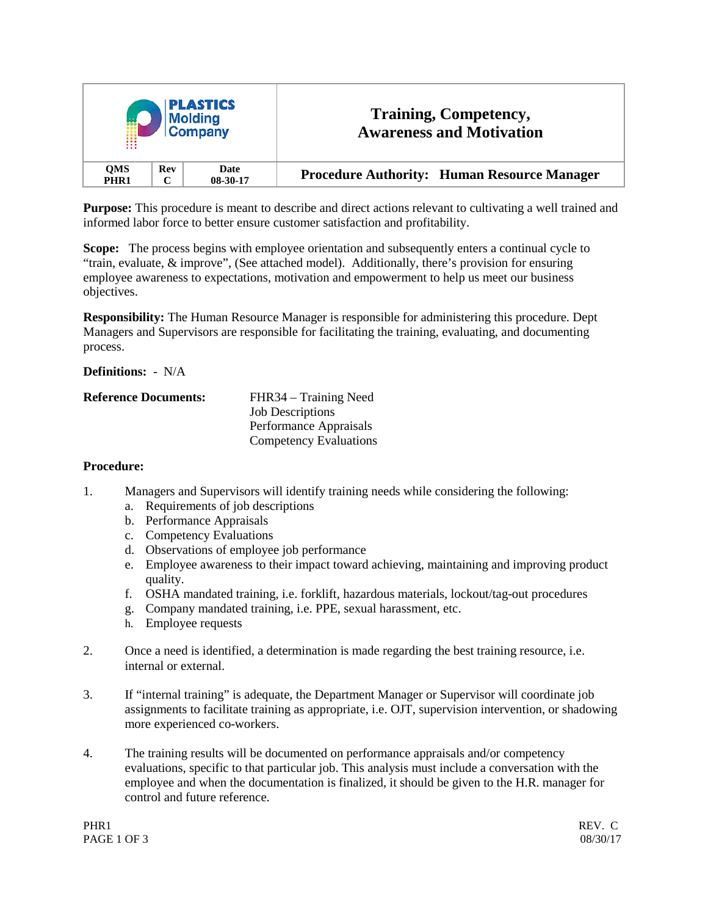| <b>PLASTICS</b><br><b>Molding<br/>Company</b> |            |                    | <b>Training, Competency,</b><br><b>Awareness and Motivation</b> |
|-----------------------------------------------|------------|--------------------|-----------------------------------------------------------------|
| <b>OMS</b><br>PHR1                            | <b>Rev</b> | Date<br>$08-30-17$ | <b>Procedure Authority: Human Resource Manager</b>              |

**Purpose:** This procedure is meant to describe and direct actions relevant to cultivating a well trained and informed labor force to better ensure customer satisfaction and profitability.

**Scope:** The process begins with employee orientation and subsequently enters a continual cycle to "train, evaluate, & improve", (See attached model). Additionally, there's provision for ensuring employee awareness to expectations, motivation and empowerment to help us meet our business objectives.

**Responsibility:** The Human Resource Manager is responsible for administering this procedure. Dept Managers and Supervisors are responsible for facilitating the training, evaluating, and documenting process.

**Definitions:** - N/A

| <b>Reference Documents:</b> | FHR34 – Training Need         |
|-----------------------------|-------------------------------|
|                             | <b>Job Descriptions</b>       |
|                             | Performance Appraisals        |
|                             | <b>Competency Evaluations</b> |

## **Procedure:**

- 1. Managers and Supervisors will identify training needs while considering the following:
	- a. Requirements of job descriptions
	- b. Performance Appraisals
	- c. Competency Evaluations
	- d. Observations of employee job performance
	- e. Employee awareness to their impact toward achieving, maintaining and improving product quality.
	- f. OSHA mandated training, i.e. forklift, hazardous materials, lockout/tag-out procedures
	- g. Company mandated training, i.e. PPE, sexual harassment, etc.
	- h. Employee requests
- 2. Once a need is identified, a determination is made regarding the best training resource, i.e. internal or external.
- 3. If "internal training" is adequate, the Department Manager or Supervisor will coordinate job assignments to facilitate training as appropriate, i.e. OJT, supervision intervention, or shadowing more experienced co-workers.
- 4. The training results will be documented on performance appraisals and/or competency evaluations, specific to that particular job. This analysis must include a conversation with the employee and when the documentation is finalized, it should be given to the H.R. manager for control and future reference.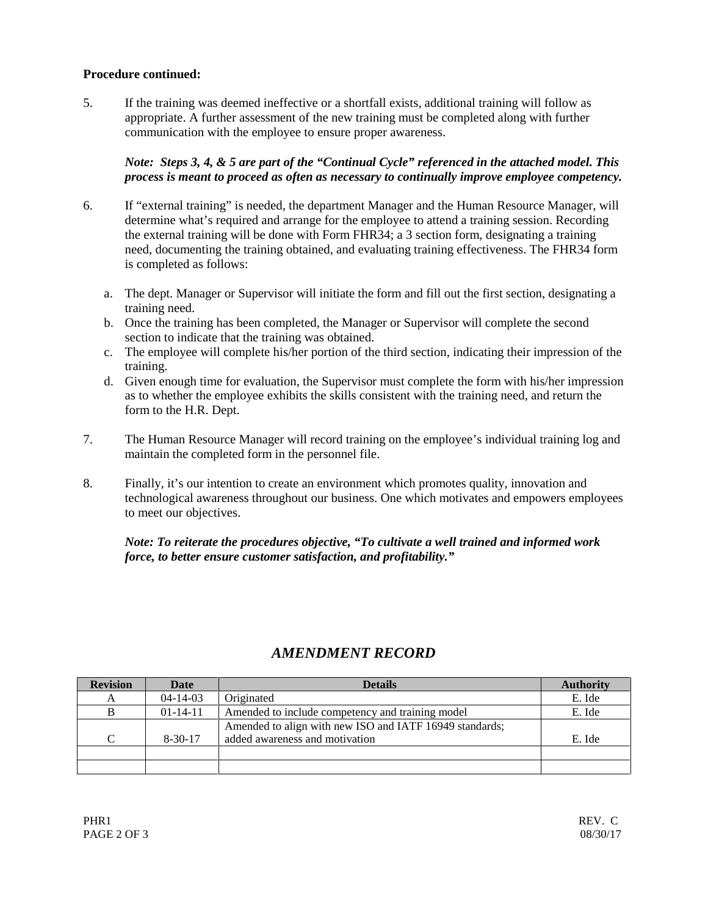## **Procedure continued:**

5. If the training was deemed ineffective or a shortfall exists, additional training will follow as appropriate. A further assessment of the new training must be completed along with further communication with the employee to ensure proper awareness.

*Note: Steps 3, 4, & 5 are part of the "Continual Cycle" referenced in the attached model. This process is meant to proceed as often as necessary to continually improve employee competency.*

- 6. If "external training" is needed, the department Manager and the Human Resource Manager, will determine what's required and arrange for the employee to attend a training session. Recording the external training will be done with Form FHR34; a 3 section form, designating a training need, documenting the training obtained, and evaluating training effectiveness. The FHR34 form is completed as follows:
	- a. The dept. Manager or Supervisor will initiate the form and fill out the first section, designating a training need.
	- b. Once the training has been completed, the Manager or Supervisor will complete the second section to indicate that the training was obtained.
	- c. The employee will complete his/her portion of the third section, indicating their impression of the training.
	- d. Given enough time for evaluation, the Supervisor must complete the form with his/her impression as to whether the employee exhibits the skills consistent with the training need, and return the form to the H.R. Dept.
- 7. The Human Resource Manager will record training on the employee's individual training log and maintain the completed form in the personnel file.
- 8. Finally, it's our intention to create an environment which promotes quality, innovation and technological awareness throughout our business. One which motivates and empowers employees to meet our objectives.

## *Note: To reiterate the procedures objective, "To cultivate a well trained and informed work force, to better ensure customer satisfaction, and profitability."*

| <b>Revision</b> | Date           | <b>Details</b>                                          | <b>Authority</b> |
|-----------------|----------------|---------------------------------------------------------|------------------|
|                 | $04 - 14 - 03$ | Originated                                              | E. Ide           |
| B               | $01-14-11$     | Amended to include competency and training model        | E. Ide           |
|                 |                | Amended to align with new ISO and IATF 16949 standards; |                  |
| C               | $8 - 30 - 17$  | added awareness and motivation                          | E. Ide           |
|                 |                |                                                         |                  |
|                 |                |                                                         |                  |

## *AMENDMENT RECORD*